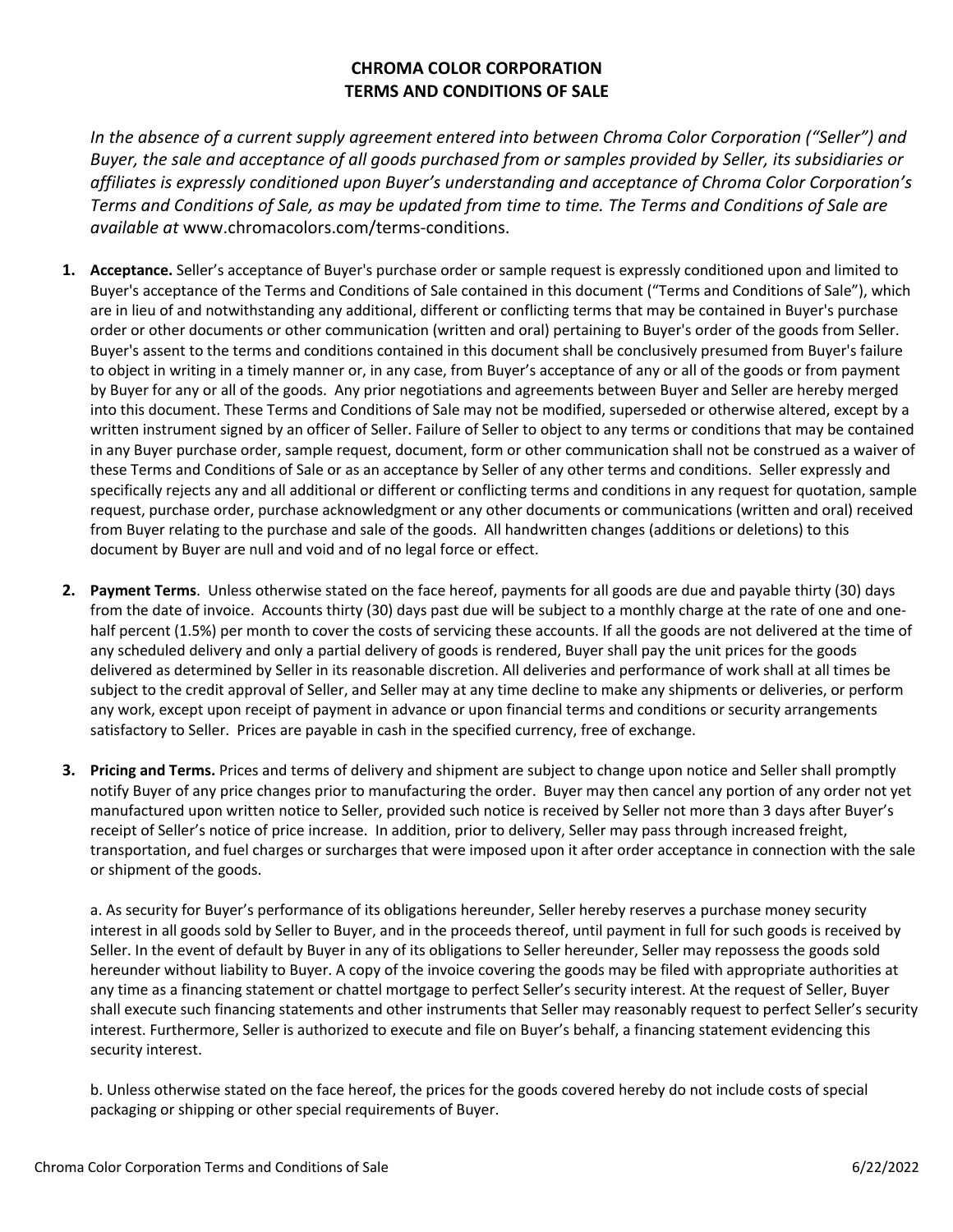## **CHROMA COLOR CORPORATION TERMS AND CONDITIONS OF SALE**

*In the absence of a current supply agreement entered into between Chroma Color Corporation ("Seller") and Buyer, the sale and acceptance of all goods purchased from or samples provided by Seller, its subsidiaries or affiliates is expressly conditioned upon Buyer's understanding and acceptance of Chroma Color Corporation's Terms and Conditions of Sale, as may be updated from time to time. The Terms and Conditions of Sale are available at* www.chromacolors.com/terms-conditions.

- **1. Acceptance.** Seller's acceptance of Buyer's purchase order or sample request is expressly conditioned upon and limited to Buyer's acceptance of the Terms and Conditions of Sale contained in this document ("Terms and Conditions of Sale"), which are in lieu of and notwithstanding any additional, different or conflicting terms that may be contained in Buyer's purchase order or other documents or other communication (written and oral) pertaining to Buyer's order of the goods from Seller. Buyer's assent to the terms and conditions contained in this document shall be conclusively presumed from Buyer's failure to object in writing in a timely manner or, in any case, from Buyer's acceptance of any or all of the goods or from payment by Buyer for any or all of the goods. Any prior negotiations and agreements between Buyer and Seller are hereby merged into this document. These Terms and Conditions of Sale may not be modified, superseded or otherwise altered, except by a written instrument signed by an officer of Seller. Failure of Seller to object to any terms or conditions that may be contained in any Buyer purchase order, sample request, document, form or other communication shall not be construed as a waiver of these Terms and Conditions of Sale or as an acceptance by Seller of any other terms and conditions. Seller expressly and specifically rejects any and all additional or different or conflicting terms and conditions in any request for quotation, sample request, purchase order, purchase acknowledgment or any other documents or communications (written and oral) received from Buyer relating to the purchase and sale of the goods. All handwritten changes (additions or deletions) to this document by Buyer are null and void and of no legal force or effect.
- **2. Payment Terms**. Unless otherwise stated on the face hereof, payments for all goods are due and payable thirty (30) days from the date of invoice. Accounts thirty (30) days past due will be subject to a monthly charge at the rate of one and onehalf percent (1.5%) per month to cover the costs of servicing these accounts. If all the goods are not delivered at the time of any scheduled delivery and only a partial delivery of goods is rendered, Buyer shall pay the unit prices for the goods delivered as determined by Seller in its reasonable discretion. All deliveries and performance of work shall at all times be subject to the credit approval of Seller, and Seller may at any time decline to make any shipments or deliveries, or perform any work, except upon receipt of payment in advance or upon financial terms and conditions or security arrangements satisfactory to Seller. Prices are payable in cash in the specified currency, free of exchange.
- **3. Pricing and Terms.** Prices and terms of delivery and shipment are subject to change upon notice and Seller shall promptly notify Buyer of any price changes prior to manufacturing the order. Buyer may then cancel any portion of any order not yet manufactured upon written notice to Seller, provided such notice is received by Seller not more than 3 days after Buyer's receipt of Seller's notice of price increase. In addition, prior to delivery, Seller may pass through increased freight, transportation, and fuel charges or surcharges that were imposed upon it after order acceptance in connection with the sale or shipment of the goods.

a. As security for Buyer's performance of its obligations hereunder, Seller hereby reserves a purchase money security interest in all goods sold by Seller to Buyer, and in the proceeds thereof, until payment in full for such goods is received by Seller. In the event of default by Buyer in any of its obligations to Seller hereunder, Seller may repossess the goods sold hereunder without liability to Buyer. A copy of the invoice covering the goods may be filed with appropriate authorities at any time as a financing statement or chattel mortgage to perfect Seller's security interest. At the request of Seller, Buyer shall execute such financing statements and other instruments that Seller may reasonably request to perfect Seller's security interest. Furthermore, Seller is authorized to execute and file on Buyer's behalf, a financing statement evidencing this security interest.

b. Unless otherwise stated on the face hereof, the prices for the goods covered hereby do not include costs of special packaging or shipping or other special requirements of Buyer.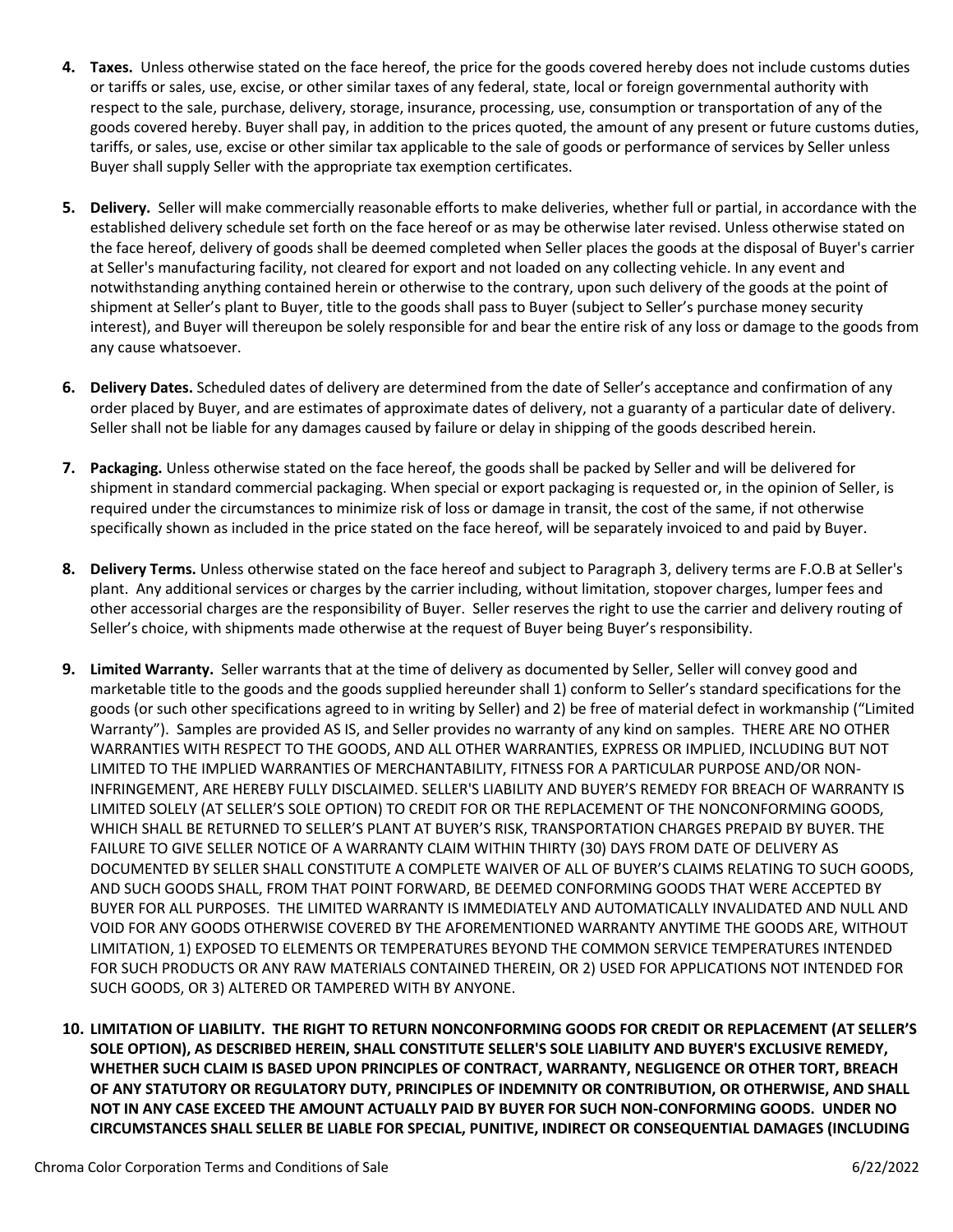- **4. Taxes.** Unless otherwise stated on the face hereof, the price for the goods covered hereby does not include customs duties or tariffs or sales, use, excise, or other similar taxes of any federal, state, local or foreign governmental authority with respect to the sale, purchase, delivery, storage, insurance, processing, use, consumption or transportation of any of the goods covered hereby. Buyer shall pay, in addition to the prices quoted, the amount of any present or future customs duties, tariffs, or sales, use, excise or other similar tax applicable to the sale of goods or performance of services by Seller unless Buyer shall supply Seller with the appropriate tax exemption certificates.
- **5. Delivery.** Seller will make commercially reasonable efforts to make deliveries, whether full or partial, in accordance with the established delivery schedule set forth on the face hereof or as may be otherwise later revised. Unless otherwise stated on the face hereof, delivery of goods shall be deemed completed when Seller places the goods at the disposal of Buyer's carrier at Seller's manufacturing facility, not cleared for export and not loaded on any collecting vehicle. In any event and notwithstanding anything contained herein or otherwise to the contrary, upon such delivery of the goods at the point of shipment at Seller's plant to Buyer, title to the goods shall pass to Buyer (subject to Seller's purchase money security interest), and Buyer will thereupon be solely responsible for and bear the entire risk of any loss or damage to the goods from any cause whatsoever.
- **6. Delivery Dates.** Scheduled dates of delivery are determined from the date of Seller's acceptance and confirmation of any order placed by Buyer, and are estimates of approximate dates of delivery, not a guaranty of a particular date of delivery. Seller shall not be liable for any damages caused by failure or delay in shipping of the goods described herein.
- **7. Packaging.** Unless otherwise stated on the face hereof, the goods shall be packed by Seller and will be delivered for shipment in standard commercial packaging. When special or export packaging is requested or, in the opinion of Seller, is required under the circumstances to minimize risk of loss or damage in transit, the cost of the same, if not otherwise specifically shown as included in the price stated on the face hereof, will be separately invoiced to and paid by Buyer.
- **8. Delivery Terms.** Unless otherwise stated on the face hereof and subject to Paragraph 3, delivery terms are F.O.B at Seller's plant. Any additional services or charges by the carrier including, without limitation, stopover charges, lumper fees and other accessorial charges are the responsibility of Buyer. Seller reserves the right to use the carrier and delivery routing of Seller's choice, with shipments made otherwise at the request of Buyer being Buyer's responsibility.
- **9. Limited Warranty.** Seller warrants that at the time of delivery as documented by Seller, Seller will convey good and marketable title to the goods and the goods supplied hereunder shall 1) conform to Seller's standard specifications for the goods (or such other specifications agreed to in writing by Seller) and 2) be free of material defect in workmanship ("Limited Warranty"). Samples are provided AS IS, and Seller provides no warranty of any kind on samples. THERE ARE NO OTHER WARRANTIES WITH RESPECT TO THE GOODS, AND ALL OTHER WARRANTIES, EXPRESS OR IMPLIED, INCLUDING BUT NOT LIMITED TO THE IMPLIED WARRANTIES OF MERCHANTABILITY, FITNESS FOR A PARTICULAR PURPOSE AND/OR NON-INFRINGEMENT, ARE HEREBY FULLY DISCLAIMED. SELLER'S LIABILITY AND BUYER'S REMEDY FOR BREACH OF WARRANTY IS LIMITED SOLELY (AT SELLER'S SOLE OPTION) TO CREDIT FOR OR THE REPLACEMENT OF THE NONCONFORMING GOODS, WHICH SHALL BE RETURNED TO SELLER'S PLANT AT BUYER'S RISK, TRANSPORTATION CHARGES PREPAID BY BUYER. THE FAILURE TO GIVE SELLER NOTICE OF A WARRANTY CLAIM WITHIN THIRTY (30) DAYS FROM DATE OF DELIVERY AS DOCUMENTED BY SELLER SHALL CONSTITUTE A COMPLETE WAIVER OF ALL OF BUYER'S CLAIMS RELATING TO SUCH GOODS, AND SUCH GOODS SHALL, FROM THAT POINT FORWARD, BE DEEMED CONFORMING GOODS THAT WERE ACCEPTED BY BUYER FOR ALL PURPOSES. THE LIMITED WARRANTY IS IMMEDIATELY AND AUTOMATICALLY INVALIDATED AND NULL AND VOID FOR ANY GOODS OTHERWISE COVERED BY THE AFOREMENTIONED WARRANTY ANYTIME THE GOODS ARE, WITHOUT LIMITATION, 1) EXPOSED TO ELEMENTS OR TEMPERATURES BEYOND THE COMMON SERVICE TEMPERATURES INTENDED FOR SUCH PRODUCTS OR ANY RAW MATERIALS CONTAINED THEREIN, OR 2) USED FOR APPLICATIONS NOT INTENDED FOR SUCH GOODS, OR 3) ALTERED OR TAMPERED WITH BY ANYONE.
- **10. LIMITATION OF LIABILITY. THE RIGHT TO RETURN NONCONFORMING GOODS FOR CREDIT OR REPLACEMENT (AT SELLER'S SOLE OPTION), AS DESCRIBED HEREIN, SHALL CONSTITUTE SELLER'S SOLE LIABILITY AND BUYER'S EXCLUSIVE REMEDY, WHETHER SUCH CLAIM IS BASED UPON PRINCIPLES OF CONTRACT, WARRANTY, NEGLIGENCE OR OTHER TORT, BREACH OF ANY STATUTORY OR REGULATORY DUTY, PRINCIPLES OF INDEMNITY OR CONTRIBUTION, OR OTHERWISE, AND SHALL NOT IN ANY CASE EXCEED THE AMOUNT ACTUALLY PAID BY BUYER FOR SUCH NON-CONFORMING GOODS. UNDER NO CIRCUMSTANCES SHALL SELLER BE LIABLE FOR SPECIAL, PUNITIVE, INDIRECT OR CONSEQUENTIAL DAMAGES (INCLUDING**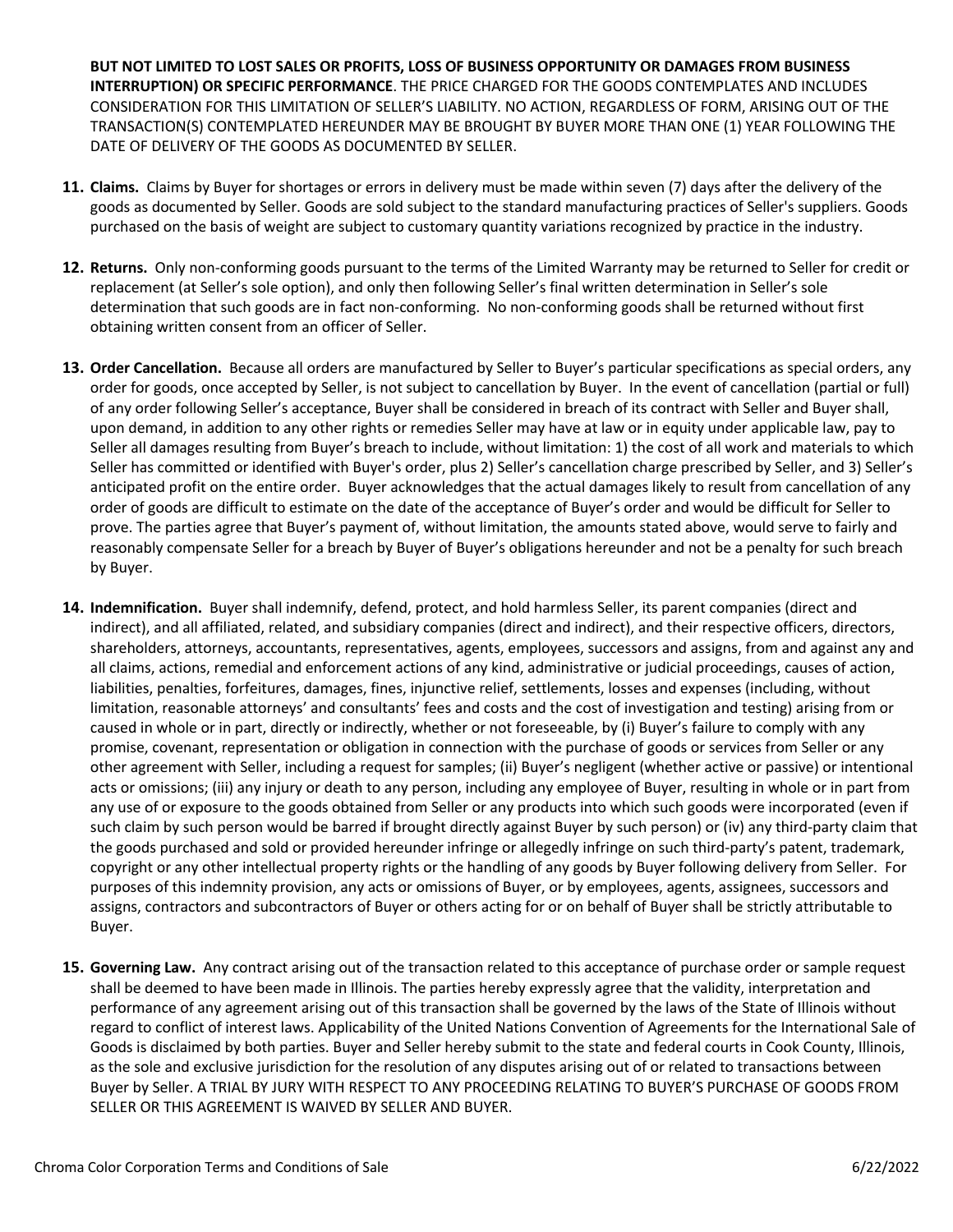**BUT NOT LIMITED TO LOST SALES OR PROFITS, LOSS OF BUSINESS OPPORTUNITY OR DAMAGES FROM BUSINESS INTERRUPTION) OR SPECIFIC PERFORMANCE**. THE PRICE CHARGED FOR THE GOODS CONTEMPLATES AND INCLUDES CONSIDERATION FOR THIS LIMITATION OF SELLER'S LIABILITY. NO ACTION, REGARDLESS OF FORM, ARISING OUT OF THE TRANSACTION(S) CONTEMPLATED HEREUNDER MAY BE BROUGHT BY BUYER MORE THAN ONE (1) YEAR FOLLOWING THE DATE OF DELIVERY OF THE GOODS AS DOCUMENTED BY SELLER.

- **11. Claims.** Claims by Buyer for shortages or errors in delivery must be made within seven (7) days after the delivery of the goods as documented by Seller. Goods are sold subject to the standard manufacturing practices of Seller's suppliers. Goods purchased on the basis of weight are subject to customary quantity variations recognized by practice in the industry.
- **12. Returns.** Only non-conforming goods pursuant to the terms of the Limited Warranty may be returned to Seller for credit or replacement (at Seller's sole option), and only then following Seller's final written determination in Seller's sole determination that such goods are in fact non-conforming. No non-conforming goods shall be returned without first obtaining written consent from an officer of Seller.
- **13. Order Cancellation.** Because all orders are manufactured by Seller to Buyer's particular specifications as special orders, any order for goods, once accepted by Seller, is not subject to cancellation by Buyer. In the event of cancellation (partial or full) of any order following Seller's acceptance, Buyer shall be considered in breach of its contract with Seller and Buyer shall, upon demand, in addition to any other rights or remedies Seller may have at law or in equity under applicable law, pay to Seller all damages resulting from Buyer's breach to include, without limitation: 1) the cost of all work and materials to which Seller has committed or identified with Buyer's order, plus 2) Seller's cancellation charge prescribed by Seller, and 3) Seller's anticipated profit on the entire order. Buyer acknowledges that the actual damages likely to result from cancellation of any order of goods are difficult to estimate on the date of the acceptance of Buyer's order and would be difficult for Seller to prove. The parties agree that Buyer's payment of, without limitation, the amounts stated above, would serve to fairly and reasonably compensate Seller for a breach by Buyer of Buyer's obligations hereunder and not be a penalty for such breach by Buyer.
- **14. Indemnification.** Buyer shall indemnify, defend, protect, and hold harmless Seller, its parent companies (direct and indirect), and all affiliated, related, and subsidiary companies (direct and indirect), and their respective officers, directors, shareholders, attorneys, accountants, representatives, agents, employees, successors and assigns, from and against any and all claims, actions, remedial and enforcement actions of any kind, administrative or judicial proceedings, causes of action, liabilities, penalties, forfeitures, damages, fines, injunctive relief, settlements, losses and expenses (including, without limitation, reasonable attorneys' and consultants' fees and costs and the cost of investigation and testing) arising from or caused in whole or in part, directly or indirectly, whether or not foreseeable, by (i) Buyer's failure to comply with any promise, covenant, representation or obligation in connection with the purchase of goods or services from Seller or any other agreement with Seller, including a request for samples; (ii) Buyer's negligent (whether active or passive) or intentional acts or omissions; (iii) any injury or death to any person, including any employee of Buyer, resulting in whole or in part from any use of or exposure to the goods obtained from Seller or any products into which such goods were incorporated (even if such claim by such person would be barred if brought directly against Buyer by such person) or (iv) any third-party claim that the goods purchased and sold or provided hereunder infringe or allegedly infringe on such third-party's patent, trademark, copyright or any other intellectual property rights or the handling of any goods by Buyer following delivery from Seller. For purposes of this indemnity provision, any acts or omissions of Buyer, or by employees, agents, assignees, successors and assigns, contractors and subcontractors of Buyer or others acting for or on behalf of Buyer shall be strictly attributable to Buyer.
- **15. Governing Law.** Any contract arising out of the transaction related to this acceptance of purchase order or sample request shall be deemed to have been made in Illinois. The parties hereby expressly agree that the validity, interpretation and performance of any agreement arising out of this transaction shall be governed by the laws of the State of Illinois without regard to conflict of interest laws. Applicability of the United Nations Convention of Agreements for the International Sale of Goods is disclaimed by both parties. Buyer and Seller hereby submit to the state and federal courts in Cook County, Illinois, as the sole and exclusive jurisdiction for the resolution of any disputes arising out of or related to transactions between Buyer by Seller. A TRIAL BY JURY WITH RESPECT TO ANY PROCEEDING RELATING TO BUYER'S PURCHASE OF GOODS FROM SELLER OR THIS AGREEMENT IS WAIVED BY SELLER AND BUYER.